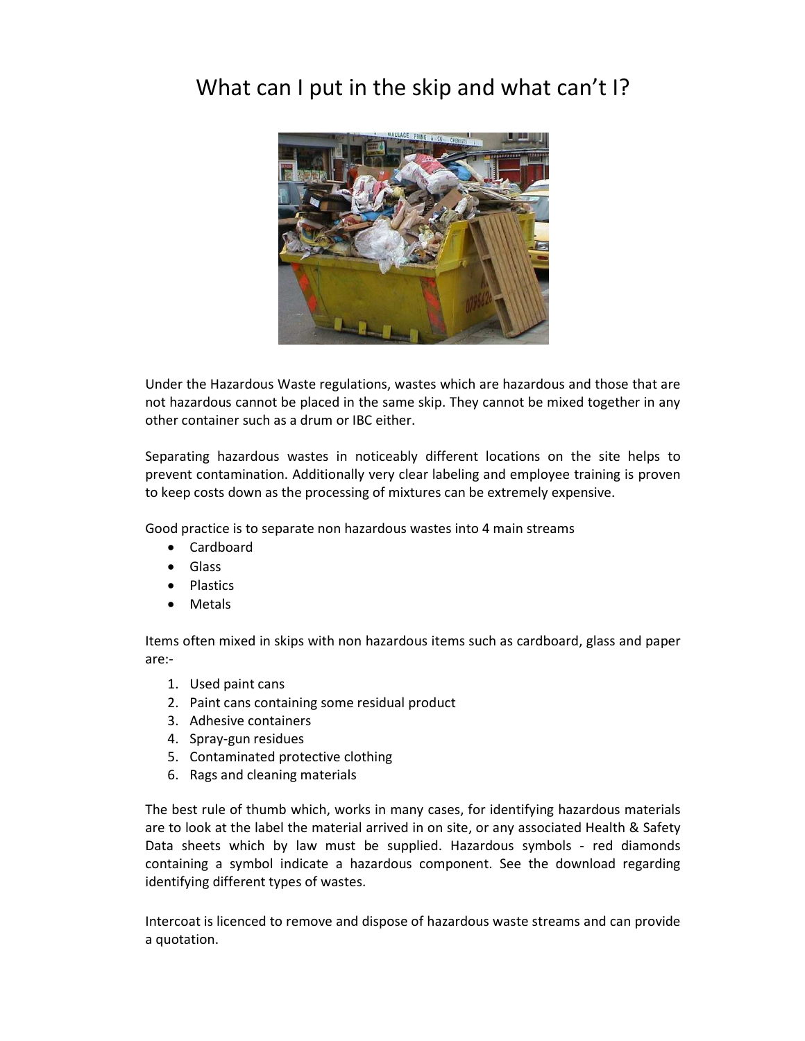## What can I put in the skip and what can't I?



Under the Hazardous Waste regulations, wastes which are hazardous and those that are not hazardous cannot be placed in the same skip. They cannot be mixed together in any other container such as a drum or IBC either.

Separating hazardous wastes in noticeably different locations on the site helps to prevent contamination. Additionally very clear labeling and employee training is proven to keep costs down as the processing of mixtures can be extremely expensive.

Good practice is to separate non hazardous wastes into 4 main streams

- Cardboard
- Glass
- Plastics
- Metals

Items often mixed in skips with non hazardous items such as cardboard, glass and paper are:-

- 1. Used paint cans
- 2. Paint cans containing some residual product
- 3. Adhesive containers
- 4. Spray-gun residues
- 5. Contaminated protective clothing
- 6. Rags and cleaning materials

The best rule of thumb which, works in many cases, for identifying hazardous materials are to look at the label the material arrived in on site, or any associated Health & Safety Data sheets which by law must be supplied. Hazardous symbols - red diamonds containing a symbol indicate a hazardous component. See the download regarding identifying different types of wastes.

Intercoat is licenced to remove and dispose of hazardous waste streams and can provide a quotation.